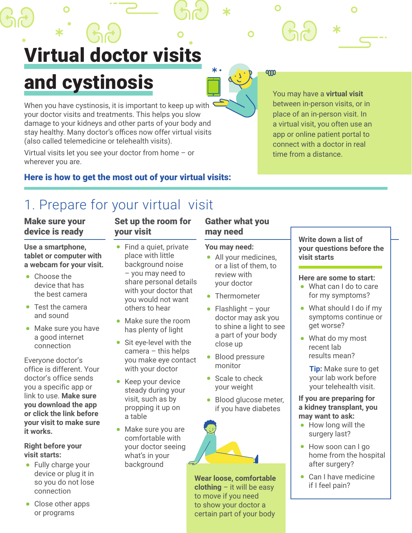Virtual doctor visits and cystinosis

When you have cystinosis, it is important to keep up with your doctor visits and treatments. This helps you slow damage to your kidneys and other parts of your body and stay healthy. Many doctor's offices now offer virtual visits (also called telemedicine or telehealth visits).

Virtual visits let you see your doctor from home – or wherever you are.

## Here is how to get the most out of your virtual visits:

# 1. Prepare for your virtual visit

## Make sure your device is ready

**Use a smartphone, tablet or computer with a webcam for your visit.**

- Choose the device that has the best camera
- Test the camera and sound
- Make sure you have a good internet connection

Everyone doctor's office is different. Your doctor's office sends you a specific app or link to use. **Make sure you download the app or click the link before your visit to make sure it works.**

**Right before your visit starts:**

- Fully charge your device or plug it in so you do not lose connection
- Close other apps or programs

## Set up the room for your visit

- Find a quiet, private place with little background noise – you may need to share personal details with your doctor that you would not want others to hear
- Make sure the room has plenty of light
- Sit eye-level with the camera – this helps you make eye contact with your doctor
- Keep your device steady during your visit, such as by propping it up on a table
- Make sure you are comfortable with your doctor seeing what's in your background

### Gather what you may need

#### **You may need:**

- All your medicines, or a list of them, to review with your doctor
- Thermometer
- Flashlight your doctor may ask you to shine a light to see a part of your body close up
- Blood pressure monitor
- Scale to check your weight
- Blood glucose meter, if you have diabetes



**Wear loose, comfortable clothing** – it will be easy to move if you need to show your doctor a certain part of your body

You may have a **virtual visit** between in-person visits, or in place of an in-person visit. In a virtual visit, you often use an app or online patient portal to connect with a doctor in real time from a distance.

Ж

O

qm

**Write down a list of your questions before the visit starts**

#### **Here are some to start:**

- What can I do to care for my symptoms?
- What should I do if my symptoms continue or get worse?
- What do my most recent lab results mean?

**Tip:** Make sure to get your lab work before your telehealth visit.

#### **If you are preparing for a kidney transplant, you may want to ask:**

- How long will the surgery last?
- How soon can I go home from the hospital after surgery?
- Can I have medicine if I feel pain?